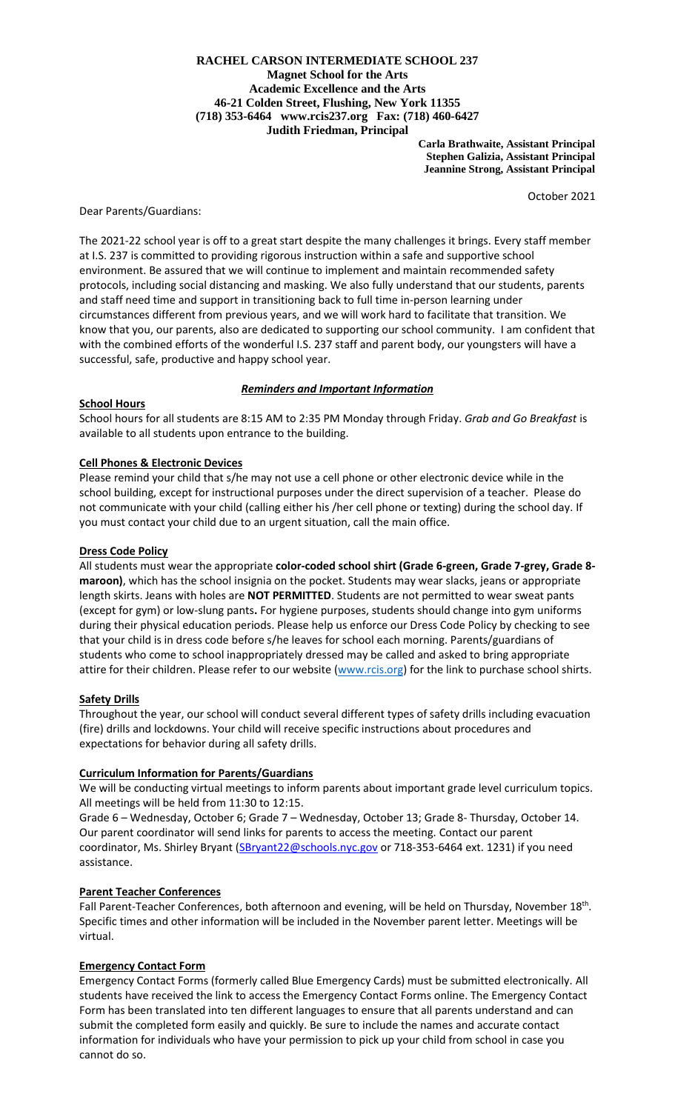# **RACHEL CARSON INTERMEDIATE SCHOOL 237 Magnet School for the Arts Academic Excellence and the Arts 46-21 Colden Street, Flushing, New York 11355 (718) 353-6464 www.rcis237.org Fax: (718) 460-6427 Judith Friedman, Principal**

 **Carla Brathwaite, Assistant Principal Stephen Galizia, Assistant Principal Jeannine Strong, Assistant Principal**

October 2021

# Dear Parents/Guardians:

The 2021-22 school year is off to a great start despite the many challenges it brings. Every staff member at I.S. 237 is committed to providing rigorous instruction within a safe and supportive school environment. Be assured that we will continue to implement and maintain recommended safety protocols, including social distancing and masking. We also fully understand that our students, parents and staff need time and support in transitioning back to full time in-person learning under circumstances different from previous years, and we will work hard to facilitate that transition. We know that you, our parents, also are dedicated to supporting our school community. I am confident that with the combined efforts of the wonderful I.S. 237 staff and parent body, our youngsters will have a successful, safe, productive and happy school year.

# *Reminders and Important Information*

#### **School Hours**

School hours for all students are 8:15 AM to 2:35 PM Monday through Friday. *Grab and Go Breakfast* is available to all students upon entrance to the building.

#### **Cell Phones & Electronic Devices**

Please remind your child that s/he may not use a cell phone or other electronic device while in the school building, except for instructional purposes under the direct supervision of a teacher. Please do not communicate with your child (calling either his /her cell phone or texting) during the school day. If you must contact your child due to an urgent situation, call the main office.

#### **Dress Code Policy**

All students must wear the appropriate **color-coded school shirt (Grade 6-green, Grade 7-grey, Grade 8 maroon)**, which has the school insignia on the pocket. Students may wear slacks, jeans or appropriate length skirts. Jeans with holes are **NOT PERMITTED**. Students are not permitted to wear sweat pants (except for gym) or low-slung pants**.** For hygiene purposes, students should change into gym uniforms during their physical education periods. Please help us enforce our Dress Code Policy by checking to see that your child is in dress code before s/he leaves for school each morning. Parents/guardians of students who come to school inappropriately dressed may be called and asked to bring appropriate attire for their children. Please refer to our website [\(www.rcis.org\)](http://www.rcis.org/) for the link to purchase school shirts.

# **Safety Drills**

Throughout the year, our school will conduct several different types of safety drills including evacuation (fire) drills and lockdowns. Your child will receive specific instructions about procedures and expectations for behavior during all safety drills.

# **Curriculum Information for Parents/Guardians**

We will be conducting virtual meetings to inform parents about important grade level curriculum topics. All meetings will be held from 11:30 to 12:15.

Grade 6 – Wednesday, October 6; Grade 7 – Wednesday, October 13; Grade 8- Thursday, October 14. Our parent coordinator will send links for parents to access the meeting. Contact our parent coordinator, Ms. Shirley Bryant [\(SBryant22@schools.nyc.gov](mailto:SBryant22@schools.nyc.gov) or 718-353-6464 ext. 1231) if you need assistance.

# **Parent Teacher Conferences**

Fall Parent-Teacher Conferences, both afternoon and evening, will be held on Thursday, November 18<sup>th</sup>. Specific times and other information will be included in the November parent letter. Meetings will be virtual.

# **Emergency Contact Form**

Emergency Contact Forms (formerly called Blue Emergency Cards) must be submitted electronically. All students have received the link to access the Emergency Contact Forms online. The Emergency Contact Form has been translated into ten different languages to ensure that all parents understand and can submit the completed form easily and quickly. Be sure to include the names and accurate contact information for individuals who have your permission to pick up your child from school in case you cannot do so.